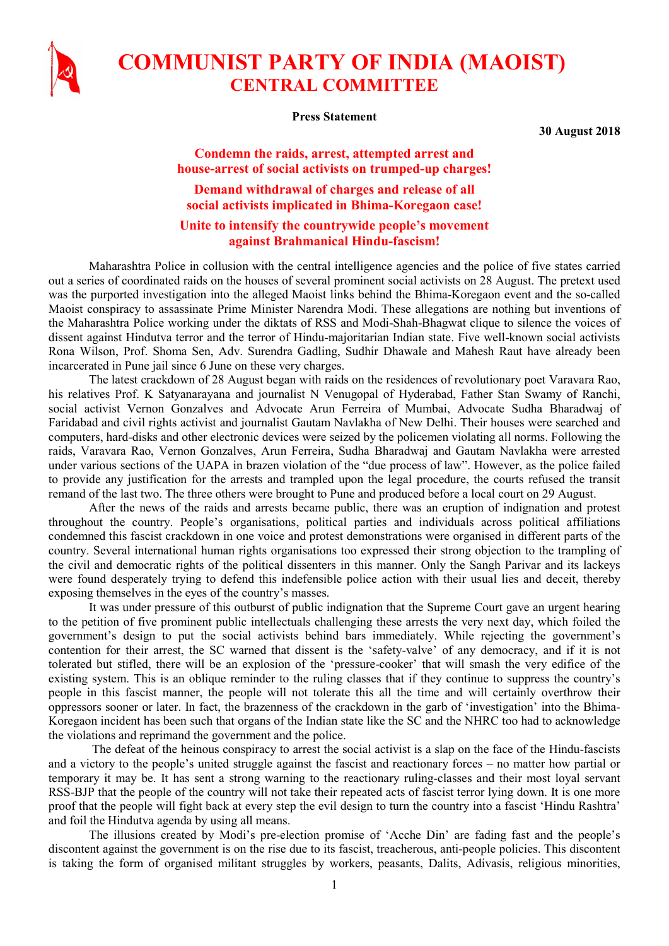

## COMMUNIST PARTY OF INDIA (MAOIST) CENTRAL COMMITTEE

Press Statement

30 August 2018

## Condemn the raids, arrest, attempted arrest and house-arrest of social activists on trumped-up charges!

Demand withdrawal of charges and release of all social activists implicated in Bhima-Koregaon case!

## Unite to intensify the countrywide people's movement against Brahmanical Hindu-fascism!

Maharashtra Police in collusion with the central intelligence agencies and the police of five states carried out a series of coordinated raids on the houses of several prominent social activists on 28 August. The pretext used was the purported investigation into the alleged Maoist links behind the Bhima-Koregaon event and the so-called Maoist conspiracy to assassinate Prime Minister Narendra Modi. These allegations are nothing but inventions of the Maharashtra Police working under the diktats of RSS and Modi-Shah-Bhagwat clique to silence the voices of dissent against Hindutva terror and the terror of Hindu-majoritarian Indian state. Five well-known social activists Rona Wilson, Prof. Shoma Sen, Adv. Surendra Gadling, Sudhir Dhawale and Mahesh Raut have already been incarcerated in Pune jail since 6 June on these very charges.

The latest crackdown of 28 August began with raids on the residences of revolutionary poet Varavara Rao, his relatives Prof. K Satyanarayana and journalist N Venugopal of Hyderabad, Father Stan Swamy of Ranchi, social activist Vernon Gonzalves and Advocate Arun Ferreira of Mumbai, Advocate Sudha Bharadwaj of Faridabad and civil rights activist and journalist Gautam Navlakha of New Delhi. Their houses were searched and computers, hard-disks and other electronic devices were seized by the policemen violating all norms. Following the raids, Varavara Rao, Vernon Gonzalves, Arun Ferreira, Sudha Bharadwaj and Gautam Navlakha were arrested under various sections of the UAPA in brazen violation of the "due process of law". However, as the police failed to provide any justification for the arrests and trampled upon the legal procedure, the courts refused the transit remand of the last two. The three others were brought to Pune and produced before a local court on 29 August.

After the news of the raids and arrests became public, there was an eruption of indignation and protest throughout the country. People's organisations, political parties and individuals across political affiliations condemned this fascist crackdown in one voice and protest demonstrations were organised in different parts of the country. Several international human rights organisations too expressed their strong objection to the trampling of the civil and democratic rights of the political dissenters in this manner. Only the Sangh Parivar and its lackeys were found desperately trying to defend this indefensible police action with their usual lies and deceit, thereby exposing themselves in the eyes of the country's masses.

It was under pressure of this outburst of public indignation that the Supreme Court gave an urgent hearing to the petition of five prominent public intellectuals challenging these arrests the very next day, which foiled the government's design to put the social activists behind bars immediately. While rejecting the government's contention for their arrest, the SC warned that dissent is the 'safety-valve' of any democracy, and if it is not tolerated but stifled, there will be an explosion of the 'pressure-cooker' that will smash the very edifice of the existing system. This is an oblique reminder to the ruling classes that if they continue to suppress the country's people in this fascist manner, the people will not tolerate this all the time and will certainly overthrow their oppressors sooner or later. In fact, the brazenness of the crackdown in the garb of 'investigation' into the Bhima-Koregaon incident has been such that organs of the Indian state like the SC and the NHRC too had to acknowledge the violations and reprimand the government and the police.

 The defeat of the heinous conspiracy to arrest the social activist is a slap on the face of the Hindu-fascists and a victory to the people's united struggle against the fascist and reactionary forces – no matter how partial or temporary it may be. It has sent a strong warning to the reactionary ruling-classes and their most loyal servant RSS-BJP that the people of the country will not take their repeated acts of fascist terror lying down. It is one more proof that the people will fight back at every step the evil design to turn the country into a fascist 'Hindu Rashtra' and foil the Hindutva agenda by using all means.

The illusions created by Modi's pre-election promise of 'Acche Din' are fading fast and the people's discontent against the government is on the rise due to its fascist, treacherous, anti-people policies. This discontent is taking the form of organised militant struggles by workers, peasants, Dalits, Adivasis, religious minorities,